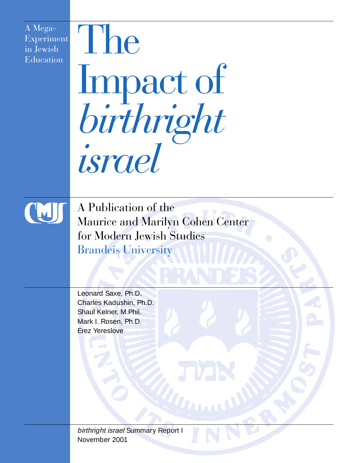A Mega-Experiment in Jewish Education

# The Impact of *birthright israel*



A Publication of the Maurice and Marilyn Cohen Center for Modern Jewish Studies Brandeis University

**MARA** 

Leonard Saxe, Ph.D. Charles Kadushin, Ph.D. Shaul Kelner, M.Phil. Mark I. Rosen, Ph.D. Erez Yereslove

birthright israel Summary Report I November 2001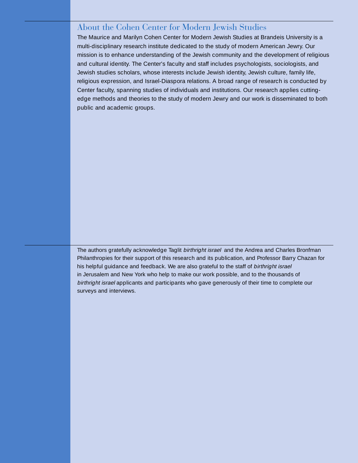#### About the Cohen Center for Modern Jewish Studies

The Maurice and Marilyn Cohen Center for Modern Jewish Studies at Brandeis University is a multi-disciplinary research institute dedicated to the study of modern American Jewry. Our mission is to enhance understanding of the Jewish community and the development of religious and cultural identity. The Center's faculty and staff includes psychologists, sociologists, and Jewish studies scholars, whose interests include Jewish identity, Jewish culture, family life, religious expression, and Israel-Diaspora relations. A broad range of research is conducted by Center faculty, spanning studies of individuals and institutions. Our research applies cuttingedge methods and theories to the study of modern Jewry and our work is disseminated to both public and academic groups.

The authors gratefully acknowledge Taglit birthright israel and the Andrea and Charles Bronfman Philanthropies for their support of this research and its publication, and Professor Barry Chazan for his helpful guidance and feedback. We are also grateful to the staff of birthright israel in Jerusalem and New York who help to make our work possible, and to the thousands of birthright israel applicants and participants who gave generously of their time to complete our surveys and interviews.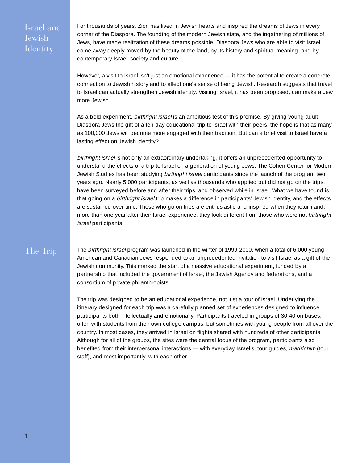| Israel and<br>Jewish<br>Identity | For thousands of years, Zion has lived in Jewish hearts and inspired the dreams of Jews in every<br>corner of the Diaspora. The founding of the modern Jewish state, and the ingathering of millions of<br>Jews, have made realization of these dreams possible. Diaspora Jews who are able to visit Israel<br>come away deeply moved by the beauty of the land, by its history and spiritual meaning, and by<br>contemporary Israeli society and culture.<br>However, a visit to Israel isn't just an emotional experience - it has the potential to create a concrete<br>connection to Jewish history and to affect one's sense of being Jewish. Research suggests that travel<br>to Israel can actually strengthen Jewish identity. Visiting Israel, it has been proposed, can make a Jew<br>more Jewish.<br>As a bold experiment, birthright israel is an ambitious test of this premise. By giving young adult<br>Diaspora Jews the gift of a ten-day educational trip to Israel with their peers, the hope is that as many<br>as 100,000 Jews will become more engaged with their tradition. But can a brief visit to Israel have a<br>lasting effect on Jewish identity?<br>birthright israel is not only an extraordinary undertaking, it offers an unprecedented opportunity to<br>understand the effects of a trip to Israel on a generation of young Jews. The Cohen Center for Modern<br>Jewish Studies has been studying birthright israel participants since the launch of the program two<br>years ago. Nearly 5,000 participants, as well as thousands who applied but did not go on the trips,<br>have been surveyed before and after their trips, and observed while in Israel. What we have found is<br>that going on a birthright israel trip makes a difference in participants' Jewish identity, and the effects<br>are sustained over time. Those who go on trips are enthusiastic and inspired when they return and,<br>more than one year after their Israel experience, they look different from those who were not birthright<br>israel participants. |
|----------------------------------|----------------------------------------------------------------------------------------------------------------------------------------------------------------------------------------------------------------------------------------------------------------------------------------------------------------------------------------------------------------------------------------------------------------------------------------------------------------------------------------------------------------------------------------------------------------------------------------------------------------------------------------------------------------------------------------------------------------------------------------------------------------------------------------------------------------------------------------------------------------------------------------------------------------------------------------------------------------------------------------------------------------------------------------------------------------------------------------------------------------------------------------------------------------------------------------------------------------------------------------------------------------------------------------------------------------------------------------------------------------------------------------------------------------------------------------------------------------------------------------------------------------------------------------------------------------------------------------------------------------------------------------------------------------------------------------------------------------------------------------------------------------------------------------------------------------------------------------------------------------------------------------------------------------------------------------------------------------------------------------------------------------------------------------------------------------------------------|
| The Trip                         | The birthright israel program was launched in the winter of 1999-2000, when a total of 6,000 young<br>American and Canadian Jews responded to an unprecedented invitation to visit Israel as a gift of the<br>Jewish community. This marked the start of a massive educational experiment, funded by a<br>partnership that included the government of Israel, the Jewish Agency and federations, and a<br>consortium of private philanthropists.<br>The trip was designed to be an educational experience, not just a tour of Israel. Underlying the<br>itinerary designed for each trip was a carefully planned set of experiences designed to influence<br>participants both intellectually and emotionally. Participants traveled in groups of 30-40 on buses,<br>often with students from their own college campus, but sometimes with young people from all over the<br>country. In most cases, they arrived in Israel on flights shared with hundreds of other participants.<br>Although for all of the groups, the sites were the central focus of the program, participants also<br>benefited from their interpersonal interactions - with everyday Israelis, tour guides, madrichim (tour<br>staff), and most importantly, with each other.                                                                                                                                                                                                                                                                                                                                                                                                                                                                                                                                                                                                                                                                                                                                                                                                                             |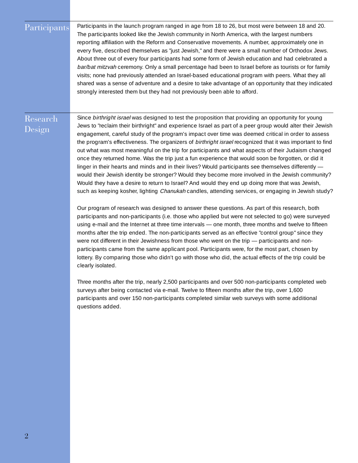| Participants       | Participants in the launch program ranged in age from 18 to 26, but most were between 18 and 20.<br>The participants looked like the Jewish community in North America, with the largest numbers<br>reporting affiliation with the Reform and Conservative movements. A number, approximately one in<br>every five, described themselves as "just Jewish," and there were a small number of Orthodox Jews.<br>About three out of every four participants had some form of Jewish education and had celebrated a<br>bar/bat mitzvah ceremony. Only a small percentage had been to Israel before as tourists or for family<br>visits; none had previously attended an Israel-based educational program with peers. What they all<br>shared was a sense of adventure and a desire to take advantage of an opportunity that they indicated<br>strongly interested them but they had not previously been able to afford.                                                                                                                                                                                                                                                                                                                                                                                                                                                                                                                                                                                                                                                                                                                                                                                                                                                                                                                                                                                                                                                                                                                                                                                                                                                |
|--------------------|--------------------------------------------------------------------------------------------------------------------------------------------------------------------------------------------------------------------------------------------------------------------------------------------------------------------------------------------------------------------------------------------------------------------------------------------------------------------------------------------------------------------------------------------------------------------------------------------------------------------------------------------------------------------------------------------------------------------------------------------------------------------------------------------------------------------------------------------------------------------------------------------------------------------------------------------------------------------------------------------------------------------------------------------------------------------------------------------------------------------------------------------------------------------------------------------------------------------------------------------------------------------------------------------------------------------------------------------------------------------------------------------------------------------------------------------------------------------------------------------------------------------------------------------------------------------------------------------------------------------------------------------------------------------------------------------------------------------------------------------------------------------------------------------------------------------------------------------------------------------------------------------------------------------------------------------------------------------------------------------------------------------------------------------------------------------------------------------------------------------------------------------------------------------|
| Research<br>Design | Since birthright israel was designed to test the proposition that providing an opportunity for young<br>Jews to "reclaim their birthright" and experience Israel as part of a peer group would alter their Jewish<br>engagement, careful study of the program's impact over time was deemed critical in order to assess<br>the program's effectiveness. The organizers of birthright israel recognized that it was important to find<br>out what was most meaningful on the trip for participants and what aspects of their Judaism changed<br>once they returned home. Was the trip just a fun experience that would soon be forgotten, or did it<br>linger in their hearts and minds and in their lives? Would participants see themselves differently -<br>would their Jewish identity be stronger? Would they become more involved in the Jewish community?<br>Would they have a desire to return to Israel? And would they end up doing more that was Jewish,<br>such as keeping kosher, lighting Chanukah candles, attending services, or engaging in Jewish study?<br>Our program of research was designed to answer these questions. As part of this research, both<br>participants and non-participants (i.e. those who applied but were not selected to go) were surveyed<br>using e-mail and the Internet at three time intervals - one month, three months and twelve to fifteen<br>months after the trip ended. The non-participants served as an effective "control group" since they<br>were not different in their Jewishness from those who went on the trip - participants and non-<br>participants came from the same applicant pool. Participants were, for the most part, chosen by<br>lottery. By comparing those who didn't go with those who did, the actual effects of the trip could be<br>clearly isolated.<br>Three months after the trip, nearly 2,500 participants and over 500 non-participants completed web<br>surveys after being contacted via e-mail. Twelve to fifteen months after the trip, over 1,600<br>participants and over 150 non-participants completed similar web surveys with some additional<br>questions added. |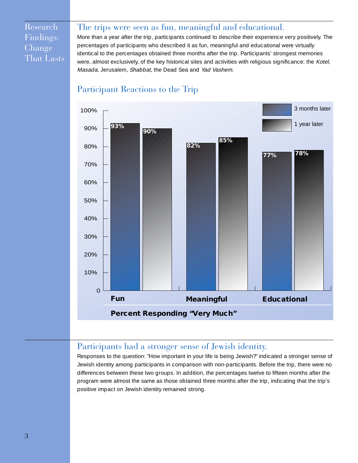Research Findings: Change That Lasts

# The trips were seen as fun, meaningful and educational.

More than a year after the trip, participants continued to describe their experience very positively. The percentages of participants who described it as fun, meaningful and educational were virtually identical to the percentages obtained three months after the trip. Participants' strongest memories were, almost exclusively, of the key historical sites and activities with religious significance: the Kotel, Masada, Jerusalem, Shabbat, the Dead Sea and Yad Vashem.



#### Participant Reactions to the Trip

## Participants had a stronger sense of Jewish identity.

Responses to the question: "How important in your life is being Jewish?" indicated a stronger sense of Jewish identity among participants in comparison with non-participants. Before the trip, there were no differences between these two groups. In addition, the percentages twelve to fifteen months after the program were almost the same as those obtained three months after the trip, indicating that the trip's positive impact on Jewish identity remained strong.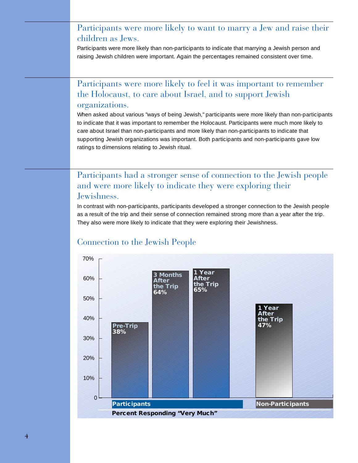# Participants were more likely to want to marry a Jew and raise their children as Jews.

Participants were more likely than non-participants to indicate that marrying a Jewish person and raising Jewish children were important. Again the percentages remained consistent over time.

## Participants were more likely to feel it was important to remember the Holocaust, to care about Israel, and to support Jewish organizations.

When asked about various "ways of being Jewish," participants were more likely than non-participants to indicate that it was important to remember the Holocaust. Participants were much more likely to care about Israel than non-participants and more likely than non-participants to indicate that supporting Jewish organizations was important. Both participants and non-participants gave low ratings to dimensions relating to Jewish ritual.

## Participants had a stronger sense of connection to the Jewish people and were more likely to indicate they were exploring their Jewishness.

In contrast with non-participants, participants developed a stronger connection to the Jewish people as a result of the trip and their sense of connection remained strong more than a year after the trip. They also were more likely to indicate that they were exploring their Jewishness.



# Connection to the Jewish People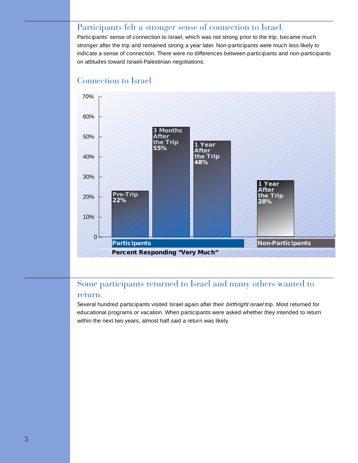# Participants felt a stronger sense of connection to Israel.

Participants' sense of connection to Israel, which was not strong prior to the trip, became much stronger after the trip and remained strong a year later. Non-participants were much less likely to indicate a sense of connection. There were no differences between participants and non-participants on attitudes toward Israeli-Palestinian negotiations.



#### Connection to Israel

## Some participants returned to Israel and many others wanted to return.

Several hundred participants visited Israel again after their birthright israel trip. Most returned for educational programs or vacation. When participants were asked whether they intended to return within the next two years, almost half said a return was likely.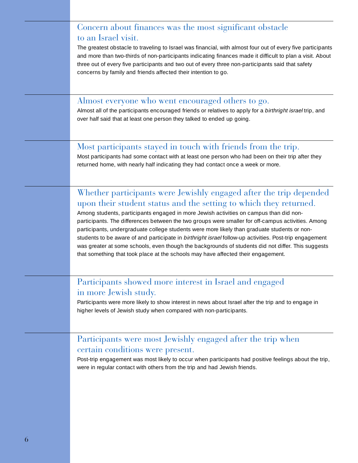| Concern about finances was the most significant obstacle<br>to an Israel visit.<br>The greatest obstacle to traveling to Israel was financial, with almost four out of every five participants<br>and more than two-thirds of non-participants indicating finances made it difficult to plan a visit. About<br>three out of every five participants and two out of every three non-participants said that safety<br>concerns by family and friends affected their intention to go.                                                                                                                                                                                                                                                            |
|-----------------------------------------------------------------------------------------------------------------------------------------------------------------------------------------------------------------------------------------------------------------------------------------------------------------------------------------------------------------------------------------------------------------------------------------------------------------------------------------------------------------------------------------------------------------------------------------------------------------------------------------------------------------------------------------------------------------------------------------------|
| Almost everyone who went encouraged others to go.<br>Almost all of the participants encouraged friends or relatives to apply for a birthright israel trip, and<br>over half said that at least one person they talked to ended up going.                                                                                                                                                                                                                                                                                                                                                                                                                                                                                                      |
| Most participants stayed in touch with friends from the trip.<br>Most participants had some contact with at least one person who had been on their trip after they<br>returned home, with nearly half indicating they had contact once a week or more.                                                                                                                                                                                                                                                                                                                                                                                                                                                                                        |
| Whether participants were Jewishly engaged after the trip depended<br>upon their student status and the setting to which they returned.<br>Among students, participants engaged in more Jewish activities on campus than did non-<br>participants. The differences between the two groups were smaller for off-campus activities. Among<br>participants, undergraduate college students were more likely than graduate students or non-<br>students to be aware of and participate in birthright israel follow-up activities. Post-trip engagement<br>was greater at some schools, even though the backgrounds of students did not differ. This suggests<br>that something that took place at the schools may have affected their engagement. |
| Participants showed more interest in Israel and engaged<br>in more Jewish study.<br>Participants were more likely to show interest in news about Israel after the trip and to engage in<br>higher levels of Jewish study when compared with non-participants.                                                                                                                                                                                                                                                                                                                                                                                                                                                                                 |
| Participants were most Jewishly engaged after the trip when<br>certain conditions were present.<br>Post-trip engagement was most likely to occur when participants had positive feelings about the trip,<br>were in regular contact with others from the trip and had Jewish friends.                                                                                                                                                                                                                                                                                                                                                                                                                                                         |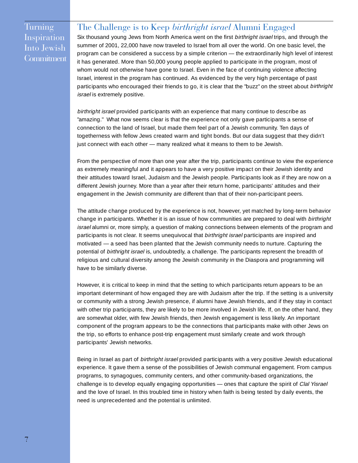Turning Inspiration Into Jewish **Commitment** 

#### The Challenge is to Keep *birthright israel* Alumni Engaged

Six thousand young Jews from North America went on the first birthright israel trips, and through the summer of 2001, 22,000 have now traveled to Israel from all over the world. On one basic level, the program can be considered a success by a simple criterion — the extraordinarily high level of interest it has generated. More than 50,000 young people applied to participate in the program, most of whom would not otherwise have gone to Israel. Even in the face of continuing violence affecting Israel, interest in the program has continued. As evidenced by the very high percentage of past participants who encouraged their friends to go, it is clear that the "buzz" on the street about birthright israel is extremely positive.

birthright israel provided participants with an experience that many continue to describe as "amazing." What now seems clear is that the experience not only gave participants a sense of connection to the land of Israel, but made them feel part of a Jewish community. Ten days of togetherness with fellow Jews created warm and tight bonds. But our data suggest that they didn't just connect with each other — many realized what it means to them to be Jewish.

From the perspective of more than one year after the trip, participants continue to view the experience as extremely meaningful and it appears to have a very positive impact on their Jewish identity and their attitudes toward Israel, Judaism and the Jewish people. Participants look as if they are now on a different Jewish journey. More than a year after their return home, participants' attitudes and their engagement in the Jewish community are different than that of their non-participant peers.

The attitude change produced by the experience is not, however, yet matched by long-term behavior change in participants. Whether it is an issue of how communities are prepared to deal with birthright israel alumni or, more simply, a question of making connections between elements of the program and participants is not clear. It seems unequivocal that *birthright israel* participants are inspired and motivated — a seed has been planted that the Jewish community needs to nurture. Capturing the potential of birthright israel is, undoubtedly, a challenge. The participants represent the breadth of religious and cultural diversity among the Jewish community in the Diaspora and programming will have to be similarly diverse.

However, it is critical to keep in mind that the setting to which participants return appears to be an important determinant of how engaged they are with Judaism after the trip. If the setting is a university or community with a strong Jewish presence, if alumni have Jewish friends, and if they stay in contact with other trip participants, they are likely to be more involved in Jewish life. If, on the other hand, they are somewhat older, with few Jewish friends, then Jewish engagement is less likely. An important component of the program appears to be the connections that participants make with other Jews on the trip, so efforts to enhance post-trip engagement must similarly create and work through participants' Jewish networks.

Being in Israel as part of *birthright israel* provided participants with a very positive Jewish educational experience. It gave them a sense of the possibilities of Jewish communal engagement. From campus programs, to synagogues, community centers, and other community-based organizations, the challenge is to develop equally engaging opportunities — ones that capture the spirit of Clal Yisrael and the love of Israel. In this troubled time in history when faith is being tested by daily events, the need is unprecedented and the potential is unlimited.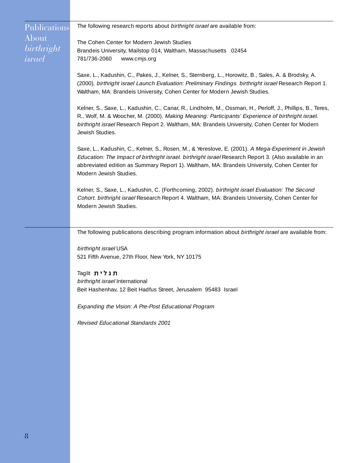The following research reports about birthright israel are available from:

Publications About *birthright israel*

The Cohen Center for Modern Jewish Studies Brandeis University, Mailstop 014, Waltham, Massachusetts 02454 781/736-2060 www.cmjs.org

Saxe, L., Kadushin, C., Pakes, J., Kelner, S., Sternberg, L., Horowitz, B., Sales, A. & Brodsky, A. (2000). birthright israel Launch Evaluation: Preliminary Findings. birthright israel Research Report 1. Waltham, MA: Brandeis University, Cohen Center for Modern Jewish Studies.

Kelner, S., Saxe, L., Kadushin, C., Canar, R., Lindholm, M., Ossman, H., Perloff, J., Phillips, B., Teres, R., Wolf, M. & Woocher, M. (2000). Making Meaning: Participants' Experience of birthright israel. birthright israel Research Report 2. Waltham, MA: Brandeis University, Cohen Center for Modern Jewish Studies.

Saxe, L., Kadushin, C., Kelner, S., Rosen, M., & Yereslove, E. (2001). A Mega-Experiment in Jewish Education: The Impact of birthright israel. birthright israel Research Report 3. (Also available in an abbreviated edition as Summary Report 1). Waltham, MA: Brandeis University, Cohen Center for Modern Jewish Studies.

Kelner, S., Saxe, L., Kadushin, C. (Forthcoming, 2002). birthright israel Evaluation: The Second Cohort. birthright israel Research Report 4. Waltham, MA: Brandeis University, Cohen Center for Modern Jewish Studies.

The following publications describing program information about *birthright israel* are available from:

birthright israel USA 521 Fifth Avenue, 27th Floor, New York, NY 10175

Taglit תגלית birthright israel International Beit Hashenhav, 12 Beit Hadfus Street, Jerusalem 95483 Israel

Expanding the Vision: A Pre-Post Educational Program

Revised Educational Standards 2001